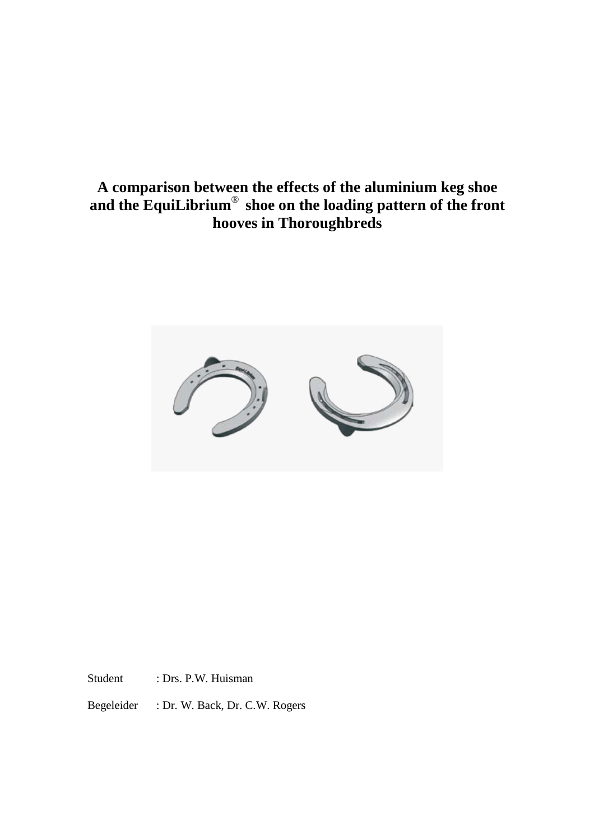# **A comparison between the effects of the aluminium keg shoe and the EquiLibrium**® **shoe on the loading pattern of the front hooves in Thoroughbreds**



Student : Drs. P.W. Huisman

Begeleider : Dr. W. Back, Dr. C.W. Rogers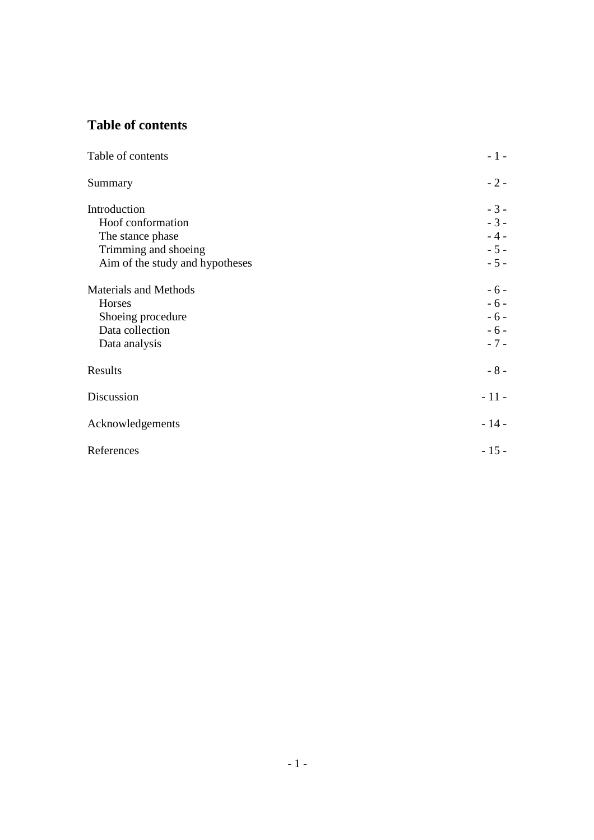# **Table of contents**

| Table of contents               | $-1-$  |
|---------------------------------|--------|
| Summary                         | $-2-$  |
| Introduction                    | $-3-$  |
| Hoof conformation               | $-3-$  |
| The stance phase                | $-4-$  |
| Trimming and shoeing            | $-5 -$ |
| Aim of the study and hypotheses | $-5 -$ |
| <b>Materials and Methods</b>    | $-6-$  |
| Horses                          | $-6-$  |
| Shoeing procedure               | $-6-$  |
| Data collection                 | $-6-$  |
| Data analysis                   | $-7 -$ |
| Results                         | $-8-$  |
| Discussion                      | $-11-$ |
| Acknowledgements                | $-14-$ |
| References                      | $-15-$ |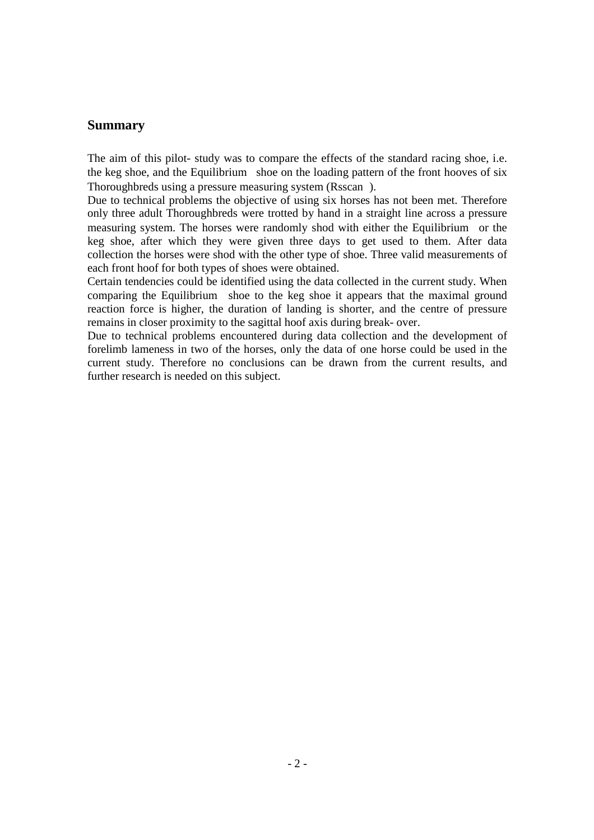### **Summary**

The aim of this pilot- study was to compare the effects of the standard racing shoe, i.e. the keg shoe, and the Equilibrium<sup>®</sup> shoe on the loading pattern of the front hooves of six Thoroughbreds using a pressure measuring system (Rsscan®).

Due to technical problems the objective of using six horses has not been met. Therefore only three adult Thoroughbreds were trotted by hand in a straight line across a pressure measuring system. The horses were randomly shod with either the Equilibrium® or the keg shoe, after which they were given three days to get used to them. After data collection the horses were shod with the other type of shoe. Three valid measurements of each front hoof for both types of shoes were obtained.

Certain tendencies could be identified using the data collected in the current study. When comparing the Equilibrium<sup>®</sup> shoe to the keg shoe it appears that the maximal ground reaction force is higher, the duration of landing is shorter, and the centre of pressure remains in closer proximity to the sagittal hoof axis during break- over.

Due to technical problems encountered during data collection and the development of forelimb lameness in two of the horses, only the data of one horse could be used in the current study. Therefore no conclusions can be drawn from the current results, and further research is needed on this subject.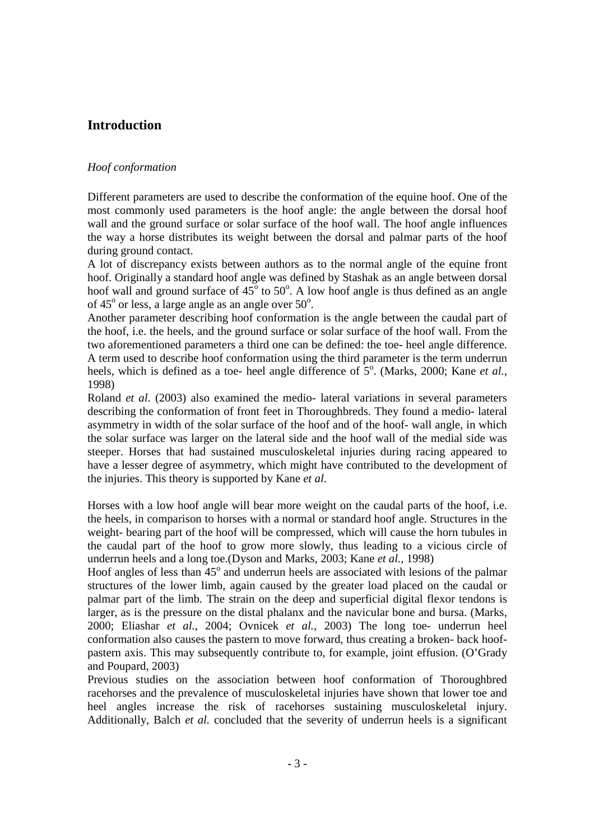### **Introduction**

### *Hoof conformation*

Different parameters are used to describe the conformation of the equine hoof. One of the most commonly used parameters is the hoof angle: the angle between the dorsal hoof wall and the ground surface or solar surface of the hoof wall. The hoof angle influences the way a horse distributes its weight between the dorsal and palmar parts of the hoof during ground contact.

A lot of discrepancy exists between authors as to the normal angle of the equine front hoof. Originally a standard hoof angle was defined by Stashak as an angle between dorsal hoof wall and ground surface of  $45^{\circ}$  to  $50^{\circ}$ . A low hoof angle is thus defined as an angle of  $45^{\circ}$  or less, a large angle as an angle over  $50^{\circ}$ .

Another parameter describing hoof conformation is the angle between the caudal part of the hoof, i.e. the heels, and the ground surface or solar surface of the hoof wall. From the two aforementioned parameters a third one can be defined: the toe- heel angle difference. A term used to describe hoof conformation using the third parameter is the term underrun heels, which is defined as a toe- heel angle difference of  $5^{\circ}$ . (Marks, 2000; Kane *et al.*, 1998)

Roland *et al*. (2003) also examined the medio- lateral variations in several parameters describing the conformation of front feet in Thoroughbreds. They found a medio- lateral asymmetry in width of the solar surface of the hoof and of the hoof- wall angle, in which the solar surface was larger on the lateral side and the hoof wall of the medial side was steeper. Horses that had sustained musculoskeletal injuries during racing appeared to have a lesser degree of asymmetry, which might have contributed to the development of the injuries. This theory is supported by Kane *et al*.

Horses with a low hoof angle will bear more weight on the caudal parts of the hoof, i.e. the heels, in comparison to horses with a normal or standard hoof angle. Structures in the weight- bearing part of the hoof will be compressed, which will cause the horn tubules in the caudal part of the hoof to grow more slowly, thus leading to a vicious circle of underrun heels and a long toe.(Dyson and Marks, 2003; Kane *et al.*, 1998)

Hoof angles of less than  $45^{\circ}$  and underrun heels are associated with lesions of the palmar structures of the lower limb, again caused by the greater load placed on the caudal or palmar part of the limb. The strain on the deep and superficial digital flexor tendons is larger, as is the pressure on the distal phalanx and the navicular bone and bursa. (Marks, 2000; Eliashar *et al.*, 2004; Ovnicek *et al.*, 2003) The long toe- underrun heel conformation also causes the pastern to move forward, thus creating a broken- back hoofpastern axis. This may subsequently contribute to, for example, joint effusion. (O'Grady and Poupard, 2003)

Previous studies on the association between hoof conformation of Thoroughbred racehorses and the prevalence of musculoskeletal injuries have shown that lower toe and heel angles increase the risk of racehorses sustaining musculoskeletal injury. Additionally, Balch *et al.* concluded that the severity of underrun heels is a significant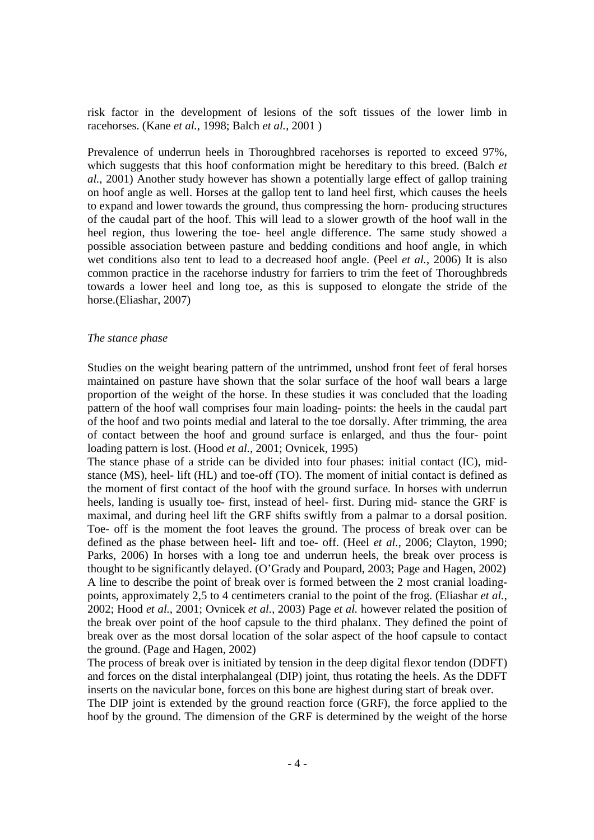risk factor in the development of lesions of the soft tissues of the lower limb in racehorses. (Kane *et al.*, 1998; Balch *et al.*, 2001 )

Prevalence of underrun heels in Thoroughbred racehorses is reported to exceed 97%, which suggests that this hoof conformation might be hereditary to this breed. (Balch *et al.*, 2001) Another study however has shown a potentially large effect of gallop training on hoof angle as well. Horses at the gallop tent to land heel first, which causes the heels to expand and lower towards the ground, thus compressing the horn- producing structures of the caudal part of the hoof. This will lead to a slower growth of the hoof wall in the heel region, thus lowering the toe- heel angle difference. The same study showed a possible association between pasture and bedding conditions and hoof angle, in which wet conditions also tent to lead to a decreased hoof angle. (Peel *et al.*, 2006) It is also common practice in the racehorse industry for farriers to trim the feet of Thoroughbreds towards a lower heel and long toe, as this is supposed to elongate the stride of the horse.(Eliashar, 2007)

#### *The stance phase*

Studies on the weight bearing pattern of the untrimmed, unshod front feet of feral horses maintained on pasture have shown that the solar surface of the hoof wall bears a large proportion of the weight of the horse. In these studies it was concluded that the loading pattern of the hoof wall comprises four main loading- points: the heels in the caudal part of the hoof and two points medial and lateral to the toe dorsally. After trimming, the area of contact between the hoof and ground surface is enlarged, and thus the four- point loading pattern is lost. (Hood *et al.*, 2001; Ovnicek, 1995)

The stance phase of a stride can be divided into four phases: initial contact (IC), midstance (MS), heel- lift (HL) and toe-off (TO). The moment of initial contact is defined as the moment of first contact of the hoof with the ground surface. In horses with underrun heels, landing is usually toe- first, instead of heel- first. During mid- stance the GRF is maximal, and during heel lift the GRF shifts swiftly from a palmar to a dorsal position. Toe- off is the moment the foot leaves the ground. The process of break over can be defined as the phase between heel- lift and toe- off. (Heel *et al.*, 2006; Clayton, 1990; Parks, 2006) In horses with a long toe and underrun heels, the break over process is thought to be significantly delayed. (O'Grady and Poupard, 2003; Page and Hagen, 2002) A line to describe the point of break over is formed between the 2 most cranial loadingpoints, approximately 2,5 to 4 centimeters cranial to the point of the frog. (Eliashar *et al.*, 2002; Hood *et al.*, 2001; Ovnicek *et al.*, 2003) Page *et al.* however related the position of the break over point of the hoof capsule to the third phalanx. They defined the point of break over as the most dorsal location of the solar aspect of the hoof capsule to contact the ground. (Page and Hagen, 2002)

The process of break over is initiated by tension in the deep digital flexor tendon (DDFT) and forces on the distal interphalangeal (DIP) joint, thus rotating the heels. As the DDFT inserts on the navicular bone, forces on this bone are highest during start of break over.

The DIP joint is extended by the ground reaction force (GRF), the force applied to the hoof by the ground. The dimension of the GRF is determined by the weight of the horse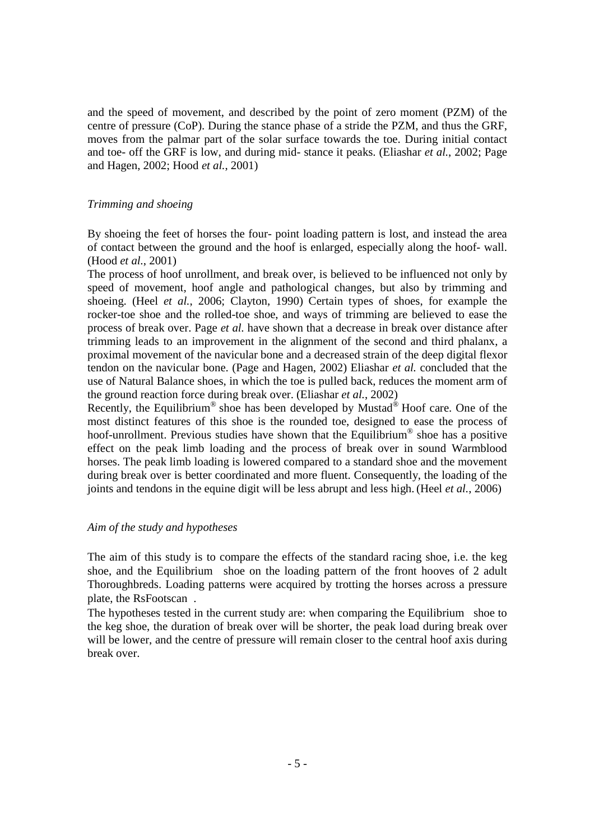and the speed of movement, and described by the point of zero moment (PZM) of the centre of pressure (CoP). During the stance phase of a stride the PZM, and thus the GRF, moves from the palmar part of the solar surface towards the toe. During initial contact and toe- off the GRF is low, and during mid- stance it peaks. (Eliashar *et al.*, 2002; Page and Hagen, 2002; Hood *et al.*, 2001)

#### *Trimming and shoeing*

By shoeing the feet of horses the four- point loading pattern is lost, and instead the area of contact between the ground and the hoof is enlarged, especially along the hoof- wall. (Hood *et al.*, 2001)

The process of hoof unrollment, and break over, is believed to be influenced not only by speed of movement, hoof angle and pathological changes, but also by trimming and shoeing. (Heel *et al.*, 2006; Clayton, 1990) Certain types of shoes, for example the rocker-toe shoe and the rolled-toe shoe, and ways of trimming are believed to ease the process of break over. Page *et al.* have shown that a decrease in break over distance after trimming leads to an improvement in the alignment of the second and third phalanx, a proximal movement of the navicular bone and a decreased strain of the deep digital flexor tendon on the navicular bone. (Page and Hagen, 2002) Eliashar *et al.* concluded that the use of Natural Balance shoes, in which the toe is pulled back, reduces the moment arm of the ground reaction force during break over. (Eliashar *et al.*, 2002)

Recently, the Equilibrium® shoe has been developed by Mustad® Hoof care. One of the most distinct features of this shoe is the rounded toe, designed to ease the process of hoof-unrollment. Previous studies have shown that the Equilibrium® shoe has a positive effect on the peak limb loading and the process of break over in sound Warmblood horses. The peak limb loading is lowered compared to a standard shoe and the movement during break over is better coordinated and more fluent. Consequently, the loading of the joints and tendons in the equine digit will be less abrupt and less high. (Heel *et al.*, 2006)

#### *Aim of the study and hypotheses*

The aim of this study is to compare the effects of the standard racing shoe, i.e. the keg shoe, and the Equilibrium<sup>®</sup> shoe on the loading pattern of the front hooves of 2 adult Thoroughbreds. Loading patterns were acquired by trotting the horses across a pressure plate, the RsFootscan<sup>®</sup>.

The hypotheses tested in the current study are: when comparing the Equilibrium<sup>®</sup> shoe to the keg shoe, the duration of break over will be shorter, the peak load during break over will be lower, and the centre of pressure will remain closer to the central hoof axis during break over.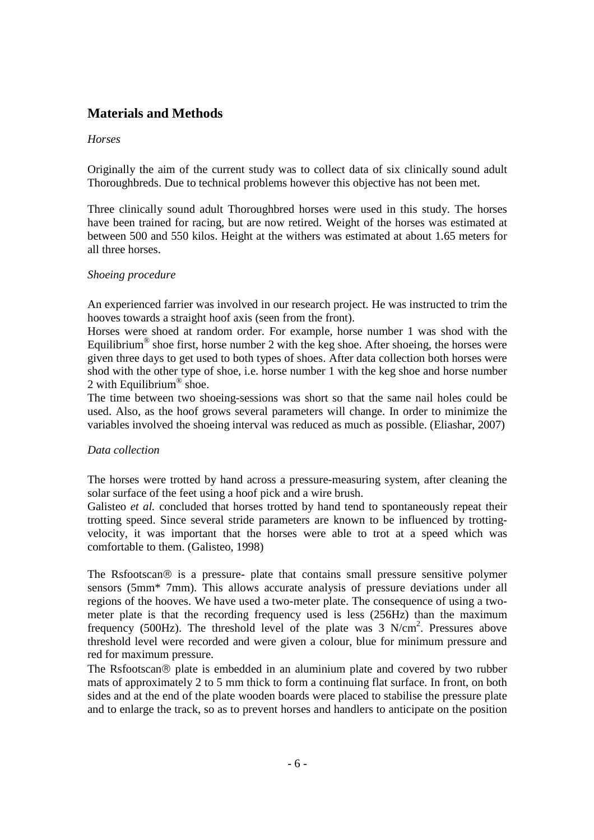## **Materials and Methods**

#### *Horses*

Originally the aim of the current study was to collect data of six clinically sound adult Thoroughbreds. Due to technical problems however this objective has not been met.

Three clinically sound adult Thoroughbred horses were used in this study. The horses have been trained for racing, but are now retired. Weight of the horses was estimated at between 500 and 550 kilos. Height at the withers was estimated at about 1.65 meters for all three horses.

#### *Shoeing procedure*

An experienced farrier was involved in our research project. He was instructed to trim the hooves towards a straight hoof axis (seen from the front).

Horses were shoed at random order. For example, horse number 1 was shod with the Equilibrium<sup>®</sup> shoe first, horse number 2 with the keg shoe. After shoeing, the horses were given three days to get used to both types of shoes. After data collection both horses were shod with the other type of shoe, i.e. horse number 1 with the keg shoe and horse number 2 with Equilibrium<sup>®</sup> shoe.

The time between two shoeing-sessions was short so that the same nail holes could be used. Also, as the hoof grows several parameters will change. In order to minimize the variables involved the shoeing interval was reduced as much as possible. (Eliashar, 2007)

#### *Data collection*

The horses were trotted by hand across a pressure-measuring system, after cleaning the solar surface of the feet using a hoof pick and a wire brush.

Galisteo *et al.* concluded that horses trotted by hand tend to spontaneously repeat their trotting speed. Since several stride parameters are known to be influenced by trottingvelocity, it was important that the horses were able to trot at a speed which was comfortable to them. (Galisteo, 1998)

The Rsfootscan $\odot$  is a pressure- plate that contains small pressure sensitive polymer sensors (5mm\* 7mm). This allows accurate analysis of pressure deviations under all regions of the hooves. We have used a two-meter plate. The consequence of using a twometer plate is that the recording frequency used is less (256Hz) than the maximum frequency (500Hz). The threshold level of the plate was  $3 \text{ N/cm}^2$ . Pressures above threshold level were recorded and were given a colour, blue for minimum pressure and red for maximum pressure.

The Rsfootscan $\circledR$  plate is embedded in an aluminium plate and covered by two rubber mats of approximately 2 to 5 mm thick to form a continuing flat surface. In front, on both sides and at the end of the plate wooden boards were placed to stabilise the pressure plate and to enlarge the track, so as to prevent horses and handlers to anticipate on the position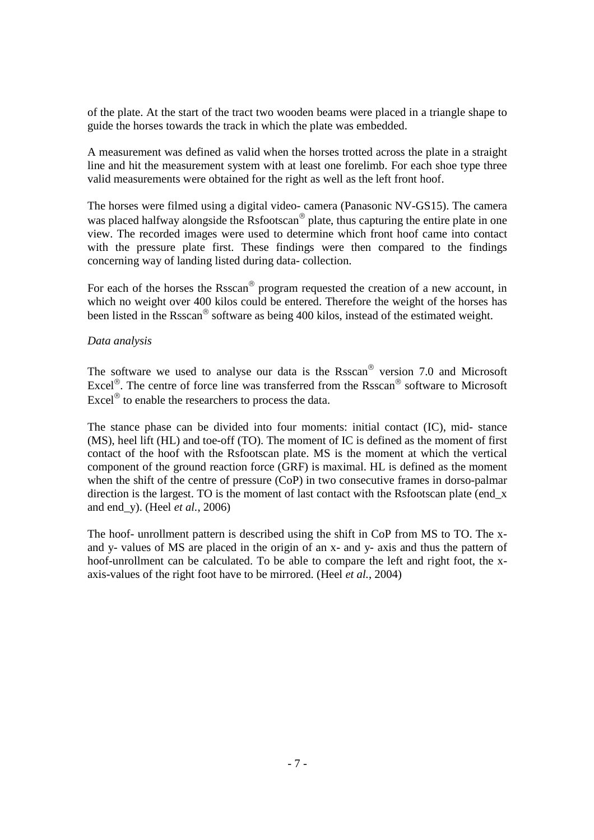of the plate. At the start of the tract two wooden beams were placed in a triangle shape to guide the horses towards the track in which the plate was embedded.

A measurement was defined as valid when the horses trotted across the plate in a straight line and hit the measurement system with at least one forelimb. For each shoe type three valid measurements were obtained for the right as well as the left front hoof.

The horses were filmed using a digital video- camera (Panasonic NV-GS15). The camera was placed halfway alongside the  $Rs$  footscan<sup>®</sup> plate, thus capturing the entire plate in one view. The recorded images were used to determine which front hoof came into contact with the pressure plate first. These findings were then compared to the findings concerning way of landing listed during data- collection.

For each of the horses the Rsscan<sup>®</sup> program requested the creation of a new account, in which no weight over 400 kilos could be entered. Therefore the weight of the horses has been listed in the Rsscan® software as being 400 kilos, instead of the estimated weight.

#### *Data analysis*

The software we used to analyse our data is the Rsscan<sup>®</sup> version 7.0 and Microsoft Excel<sup>®</sup>. The centre of force line was transferred from the Rsscan<sup>®</sup> software to Microsoft Excel $^{\circledR}$  to enable the researchers to process the data.

The stance phase can be divided into four moments: initial contact (IC), mid- stance (MS), heel lift (HL) and toe-off (TO). The moment of IC is defined as the moment of first contact of the hoof with the Rsfootscan plate. MS is the moment at which the vertical component of the ground reaction force (GRF) is maximal. HL is defined as the moment when the shift of the centre of pressure (CoP) in two consecutive frames in dorso-palmar direction is the largest. TO is the moment of last contact with the Rsfootscan plate (end x and end\_y). (Heel *et al.*, 2006)

The hoof- unrollment pattern is described using the shift in CoP from MS to TO. The xand y- values of MS are placed in the origin of an x- and y- axis and thus the pattern of hoof-unrollment can be calculated. To be able to compare the left and right foot, the xaxis-values of the right foot have to be mirrored. (Heel *et al.*, 2004)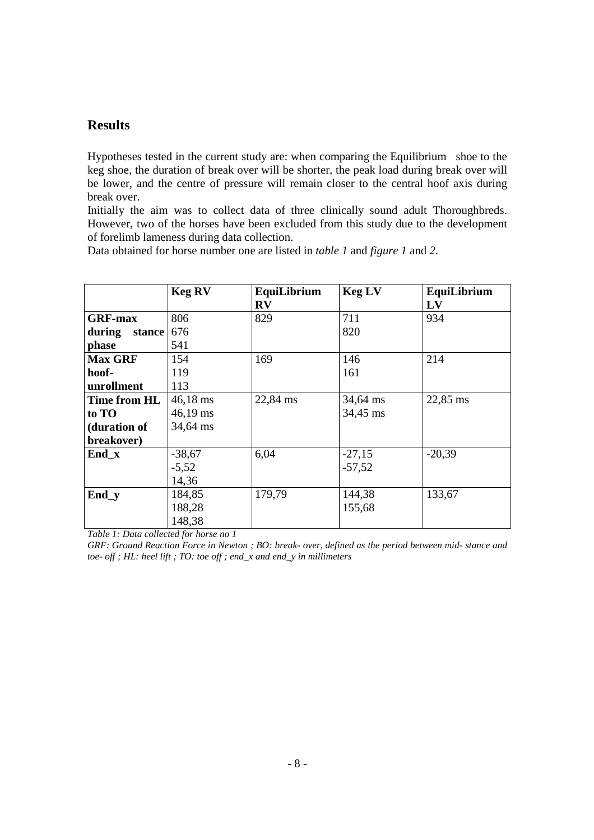### **Results**

Hypotheses tested in the current study are: when comparing the Equilibrium<sup>®</sup> shoe to the keg shoe, the duration of break over will be shorter, the peak load during break over will be lower, and the centre of pressure will remain closer to the central hoof axis during break over.

Initially the aim was to collect data of three clinically sound adult Thoroughbreds. However, two of the horses have been excluded from this study due to the development of forelimb lameness during data collection.

Data obtained for horse number one are listed in *table 1* and *figure 1* and *2*.

|                  | <b>Keg RV</b>      | EquiLibrium             | <b>Keg LV</b> | EquiLibrium |
|------------------|--------------------|-------------------------|---------------|-------------|
|                  |                    | $\mathbf{R} \mathbf{V}$ |               | LV          |
| <b>GRF-max</b>   | 806                | 829                     | 711           | 934         |
| during<br>stance | 676                |                         | 820           |             |
| phase            | 541                |                         |               |             |
| <b>Max GRF</b>   | 154                | 169                     | 146           | 214         |
| hoof-            | 119                |                         | 161           |             |
| unrollment       | 113                |                         |               |             |
| Time from HL     | $46,18 \text{ ms}$ | 22,84 ms                | 34,64 ms      | 22,85 ms    |
| to TO            | $46,19 \text{ ms}$ |                         | 34,45 ms      |             |
| (duration of     | 34,64 ms           |                         |               |             |
| breakover)       |                    |                         |               |             |
| End x            | $-38,67$           | 6,04                    | $-27,15$      | $-20,39$    |
|                  | $-5,52$            |                         | $-57,52$      |             |
|                  | 14,36              |                         |               |             |
| End_y            | 184,85             | 179,79                  | 144,38        | 133,67      |
|                  | 188,28             |                         | 155,68        |             |
|                  | 148,38             |                         |               |             |

*Table 1: Data collected for horse no 1* 

*GRF: Ground Reaction Force in Newton ; BO: break- over, defined as the period between mid- stance and toe- off ; HL: heel lift ; TO: toe off ; end\_x and end\_y in millimeters*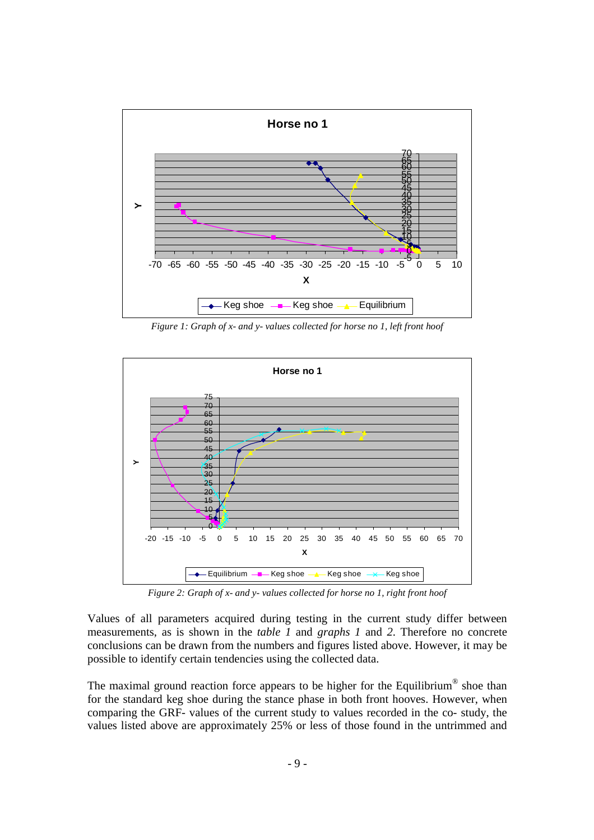

*Figure 1: Graph of x- and y- values collected for horse no 1, left front hoof* 



*Figure 2: Graph of x- and y- values collected for horse no 1, right front hoof* 

Values of all parameters acquired during testing in the current study differ between measurements, as is shown in the *table 1* and *graphs 1* and *2*. Therefore no concrete conclusions can be drawn from the numbers and figures listed above. However, it may be possible to identify certain tendencies using the collected data.

The maximal ground reaction force appears to be higher for the Equilibrium<sup>®</sup> shoe than for the standard keg shoe during the stance phase in both front hooves. However, when comparing the GRF- values of the current study to values recorded in the co- study, the values listed above are approximately 25% or less of those found in the untrimmed and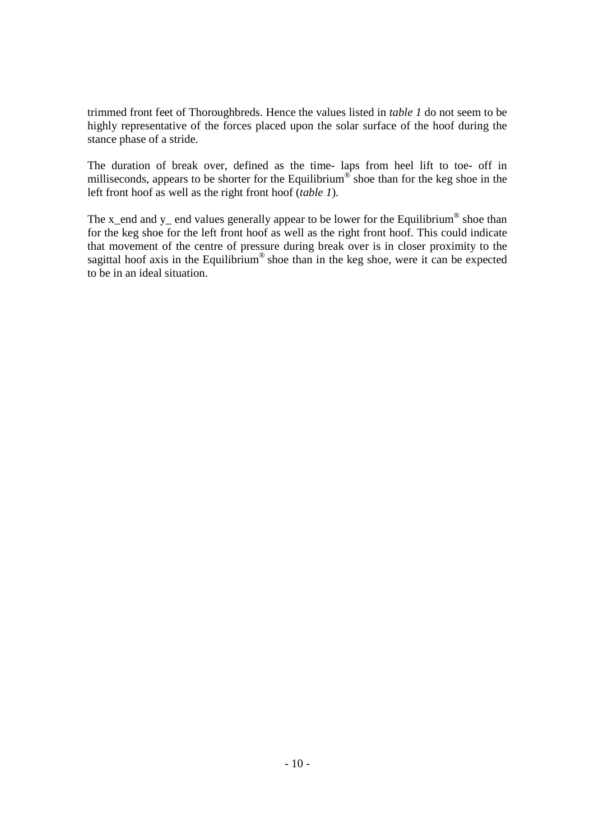trimmed front feet of Thoroughbreds. Hence the values listed in *table 1* do not seem to be highly representative of the forces placed upon the solar surface of the hoof during the stance phase of a stride.

The duration of break over, defined as the time- laps from heel lift to toe- off in milliseconds, appears to be shorter for the Equilibrium<sup>®</sup> shoe than for the keg shoe in the left front hoof as well as the right front hoof (*table 1*).

The x\_end and y\_ end values generally appear to be lower for the Equilibrium<sup>®</sup> shoe than for the keg shoe for the left front hoof as well as the right front hoof. This could indicate that movement of the centre of pressure during break over is in closer proximity to the sagittal hoof axis in the Equilibrium<sup>®</sup> shoe than in the keg shoe, were it can be expected to be in an ideal situation.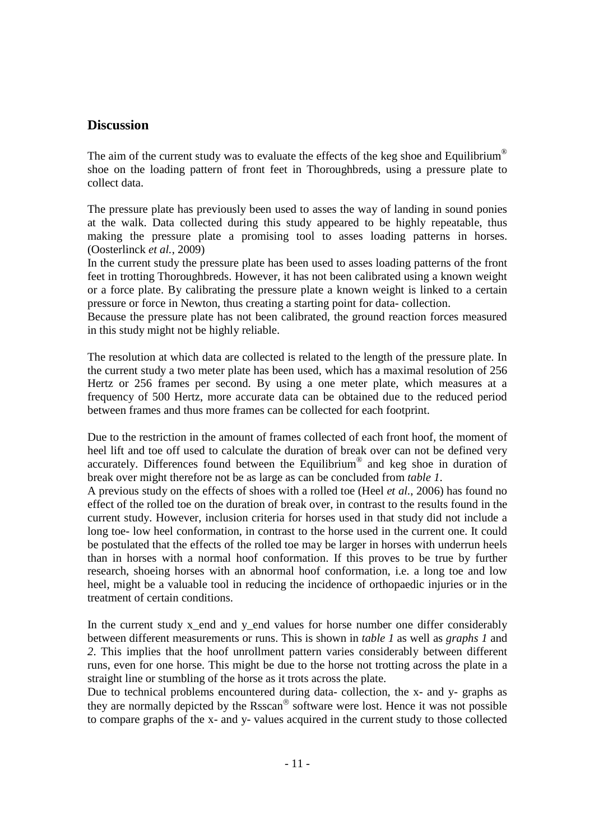### **Discussion**

The aim of the current study was to evaluate the effects of the keg shoe and Equilibrium<sup>®</sup> shoe on the loading pattern of front feet in Thoroughbreds, using a pressure plate to collect data.

The pressure plate has previously been used to asses the way of landing in sound ponies at the walk. Data collected during this study appeared to be highly repeatable, thus making the pressure plate a promising tool to asses loading patterns in horses. (Oosterlinck *et al.*, 2009)

In the current study the pressure plate has been used to asses loading patterns of the front feet in trotting Thoroughbreds. However, it has not been calibrated using a known weight or a force plate. By calibrating the pressure plate a known weight is linked to a certain pressure or force in Newton, thus creating a starting point for data- collection.

Because the pressure plate has not been calibrated, the ground reaction forces measured in this study might not be highly reliable.

The resolution at which data are collected is related to the length of the pressure plate. In the current study a two meter plate has been used, which has a maximal resolution of 256 Hertz or 256 frames per second. By using a one meter plate, which measures at a frequency of 500 Hertz, more accurate data can be obtained due to the reduced period between frames and thus more frames can be collected for each footprint.

Due to the restriction in the amount of frames collected of each front hoof, the moment of heel lift and toe off used to calculate the duration of break over can not be defined very accurately. Differences found between the Equilibrium ® and keg shoe in duration of break over might therefore not be as large as can be concluded from *table 1*.

A previous study on the effects of shoes with a rolled toe (Heel *et al.*, 2006) has found no effect of the rolled toe on the duration of break over, in contrast to the results found in the current study. However, inclusion criteria for horses used in that study did not include a long toe- low heel conformation, in contrast to the horse used in the current one. It could be postulated that the effects of the rolled toe may be larger in horses with underrun heels than in horses with a normal hoof conformation. If this proves to be true by further research, shoeing horses with an abnormal hoof conformation, i.e. a long toe and low heel, might be a valuable tool in reducing the incidence of orthopaedic injuries or in the treatment of certain conditions.

In the current study x end and y end values for horse number one differ considerably between different measurements or runs. This is shown in *table 1* as well as *graphs 1* and *2*. This implies that the hoof unrollment pattern varies considerably between different runs, even for one horse. This might be due to the horse not trotting across the plate in a straight line or stumbling of the horse as it trots across the plate.

Due to technical problems encountered during data- collection, the x- and y- graphs as they are normally depicted by the Rsscan<sup>®</sup> software were lost. Hence it was not possible to compare graphs of the x- and y- values acquired in the current study to those collected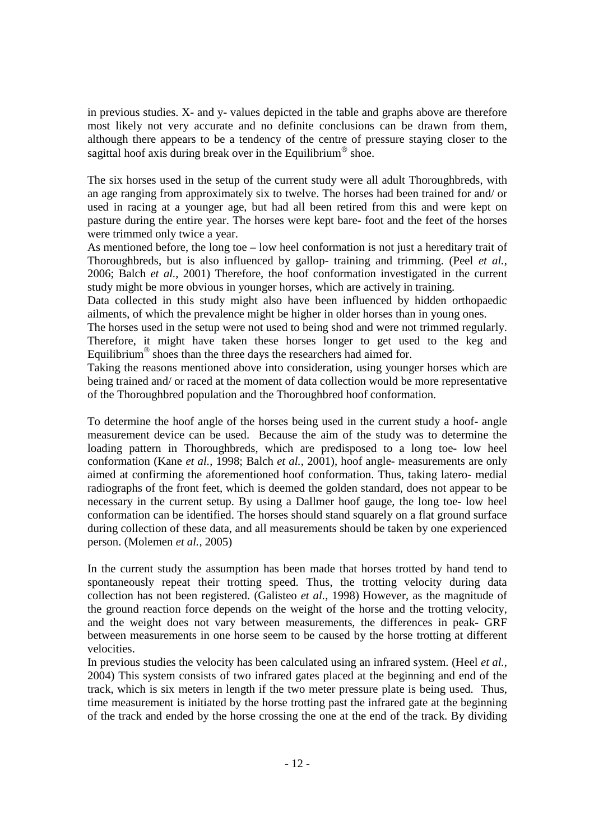in previous studies. X- and y- values depicted in the table and graphs above are therefore most likely not very accurate and no definite conclusions can be drawn from them, although there appears to be a tendency of the centre of pressure staying closer to the sagittal hoof axis during break over in the Equilibrium<sup>®</sup> shoe.

The six horses used in the setup of the current study were all adult Thoroughbreds, with an age ranging from approximately six to twelve. The horses had been trained for and/ or used in racing at a younger age, but had all been retired from this and were kept on pasture during the entire year. The horses were kept bare- foot and the feet of the horses were trimmed only twice a year.

As mentioned before, the long toe – low heel conformation is not just a hereditary trait of Thoroughbreds, but is also influenced by gallop- training and trimming. (Peel *et al.*, 2006; Balch *et al.*, 2001) Therefore, the hoof conformation investigated in the current study might be more obvious in younger horses, which are actively in training.

Data collected in this study might also have been influenced by hidden orthopaedic ailments, of which the prevalence might be higher in older horses than in young ones.

The horses used in the setup were not used to being shod and were not trimmed regularly. Therefore, it might have taken these horses longer to get used to the keg and Equilibrium<sup>®</sup> shoes than the three days the researchers had aimed for.

Taking the reasons mentioned above into consideration, using younger horses which are being trained and/ or raced at the moment of data collection would be more representative of the Thoroughbred population and the Thoroughbred hoof conformation.

To determine the hoof angle of the horses being used in the current study a hoof- angle measurement device can be used. Because the aim of the study was to determine the loading pattern in Thoroughbreds, which are predisposed to a long toe- low heel conformation (Kane *et al.*, 1998; Balch *et al.*, 2001), hoof angle- measurements are only aimed at confirming the aforementioned hoof conformation. Thus, taking latero- medial radiographs of the front feet, which is deemed the golden standard, does not appear to be necessary in the current setup. By using a Dallmer hoof gauge, the long toe- low heel conformation can be identified. The horses should stand squarely on a flat ground surface during collection of these data, and all measurements should be taken by one experienced person. (Molemen *et al.,* 2005)

In the current study the assumption has been made that horses trotted by hand tend to spontaneously repeat their trotting speed. Thus, the trotting velocity during data collection has not been registered. (Galisteo *et al.*, 1998) However, as the magnitude of the ground reaction force depends on the weight of the horse and the trotting velocity, and the weight does not vary between measurements, the differences in peak- GRF between measurements in one horse seem to be caused by the horse trotting at different velocities.

In previous studies the velocity has been calculated using an infrared system. (Heel *et al.*, 2004) This system consists of two infrared gates placed at the beginning and end of the track, which is six meters in length if the two meter pressure plate is being used. Thus, time measurement is initiated by the horse trotting past the infrared gate at the beginning of the track and ended by the horse crossing the one at the end of the track. By dividing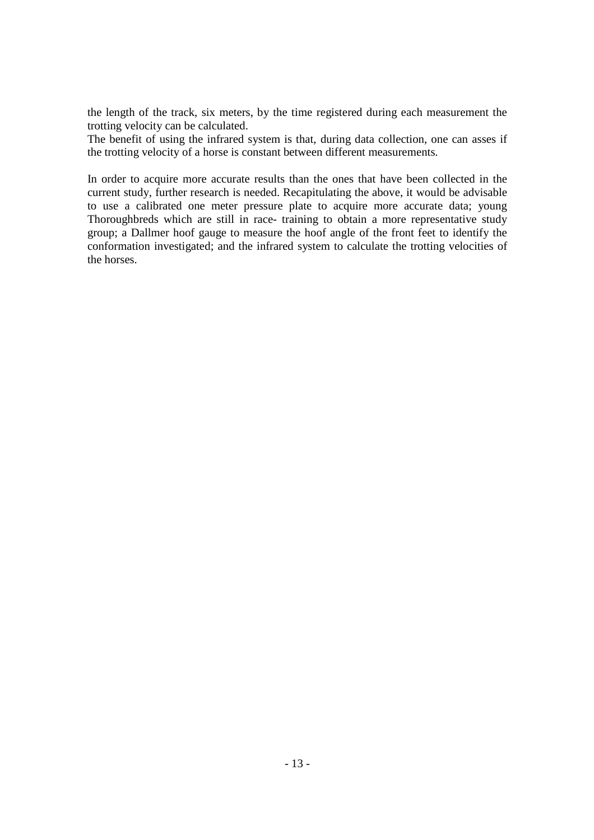the length of the track, six meters, by the time registered during each measurement the trotting velocity can be calculated.

The benefit of using the infrared system is that, during data collection, one can asses if the trotting velocity of a horse is constant between different measurements.

In order to acquire more accurate results than the ones that have been collected in the current study, further research is needed. Recapitulating the above, it would be advisable to use a calibrated one meter pressure plate to acquire more accurate data; young Thoroughbreds which are still in race- training to obtain a more representative study group; a Dallmer hoof gauge to measure the hoof angle of the front feet to identify the conformation investigated; and the infrared system to calculate the trotting velocities of the horses.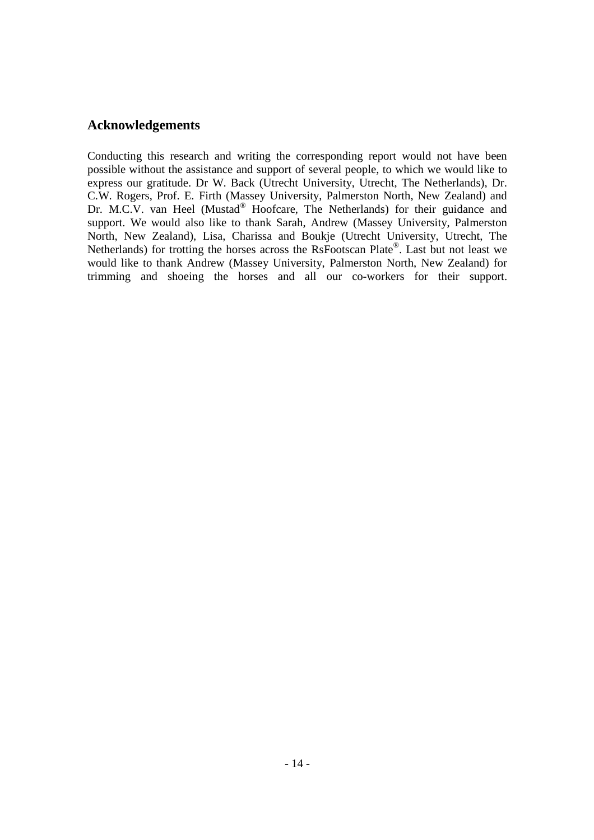### **Acknowledgements**

Conducting this research and writing the corresponding report would not have been possible without the assistance and support of several people, to which we would like to express our gratitude. Dr W. Back (Utrecht University, Utrecht, The Netherlands), Dr. C.W. Rogers, Prof. E. Firth (Massey University, Palmerston North, New Zealand) and Dr. M.C.V. van Heel (Mustad® Hoofcare, The Netherlands) for their guidance and support. We would also like to thank Sarah, Andrew (Massey University, Palmerston North, New Zealand), Lisa, Charissa and Boukje (Utrecht University, Utrecht, The Netherlands) for trotting the horses across the RsFootscan Plate®. Last but not least we would like to thank Andrew (Massey University, Palmerston North, New Zealand) for trimming and shoeing the horses and all our co-workers for their support.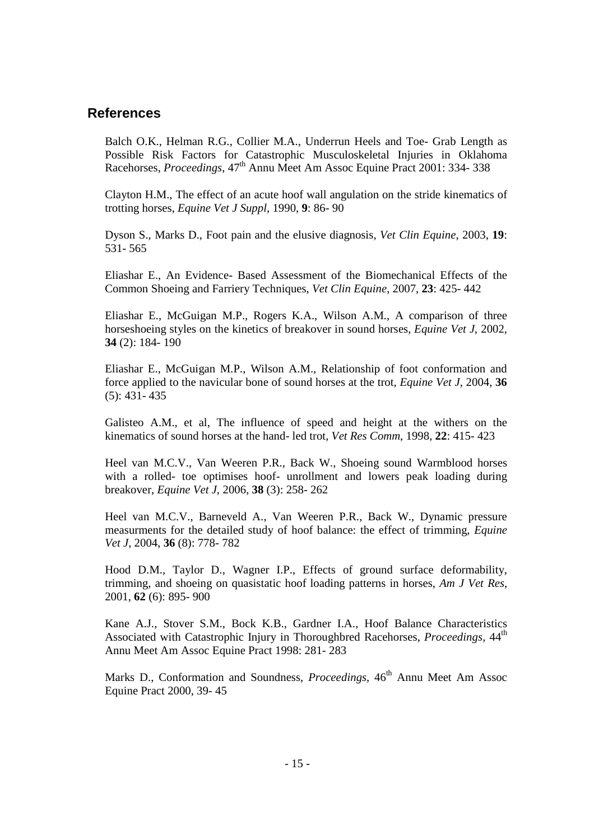### **References**

Balch O.K., Helman R.G., Collier M.A., Underrun Heels and Toe- Grab Length as Possible Risk Factors for Catastrophic Musculoskeletal Injuries in Oklahoma Racehorses, *Proceedings*, 47th Annu Meet Am Assoc Equine Pract 2001: 334- 338

Clayton H.M., The effect of an acute hoof wall angulation on the stride kinematics of trotting horses, *Equine Vet J Suppl*, 1990, **9**: 86- 90

Dyson S., Marks D., Foot pain and the elusive diagnosis, *Vet Clin Equine*, 2003, **19**: 531- 565

Eliashar E., An Evidence- Based Assessment of the Biomechanical Effects of the Common Shoeing and Farriery Techniques, *Vet Clin Equine*, 2007, **23**: 425- 442

Eliashar E., McGuigan M.P., Rogers K.A., Wilson A.M., A comparison of three horseshoeing styles on the kinetics of breakover in sound horses, *Equine Vet J*, 2002, **34** (2): 184- 190

Eliashar E., McGuigan M.P., Wilson A.M., Relationship of foot conformation and force applied to the navicular bone of sound horses at the trot, *Equine Vet J*, 2004, **36** (5): 431- 435

Galisteo A.M., et al, The influence of speed and height at the withers on the kinematics of sound horses at the hand- led trot, *Vet Res Comm*, 1998, **22**: 415- 423

Heel van M.C.V., Van Weeren P.R., Back W., Shoeing sound Warmblood horses with a rolled- toe optimises hoof- unrollment and lowers peak loading during breakover, *Equine Vet J*, 2006, **38** (3): 258- 262

Heel van M.C.V., Barneveld A., Van Weeren P.R., Back W., Dynamic pressure measurments for the detailed study of hoof balance: the effect of trimming, *Equine Vet J*, 2004, **36** (8): 778- 782

Hood D.M., Taylor D., Wagner I.P., Effects of ground surface deformability, trimming, and shoeing on quasistatic hoof loading patterns in horses, *Am J Vet Res*, 2001, **62** (6): 895- 900

Kane A.J., Stover S.M., Bock K.B., Gardner I.A., Hoof Balance Characteristics Associated with Catastrophic Injury in Thoroughbred Racehorses, *Proceedings*, 44<sup>th</sup> Annu Meet Am Assoc Equine Pract 1998: 281- 283

Marks D., Conformation and Soundness, *Proceedings*, 46<sup>th</sup> Annu Meet Am Assoc Equine Pract 2000, 39- 45